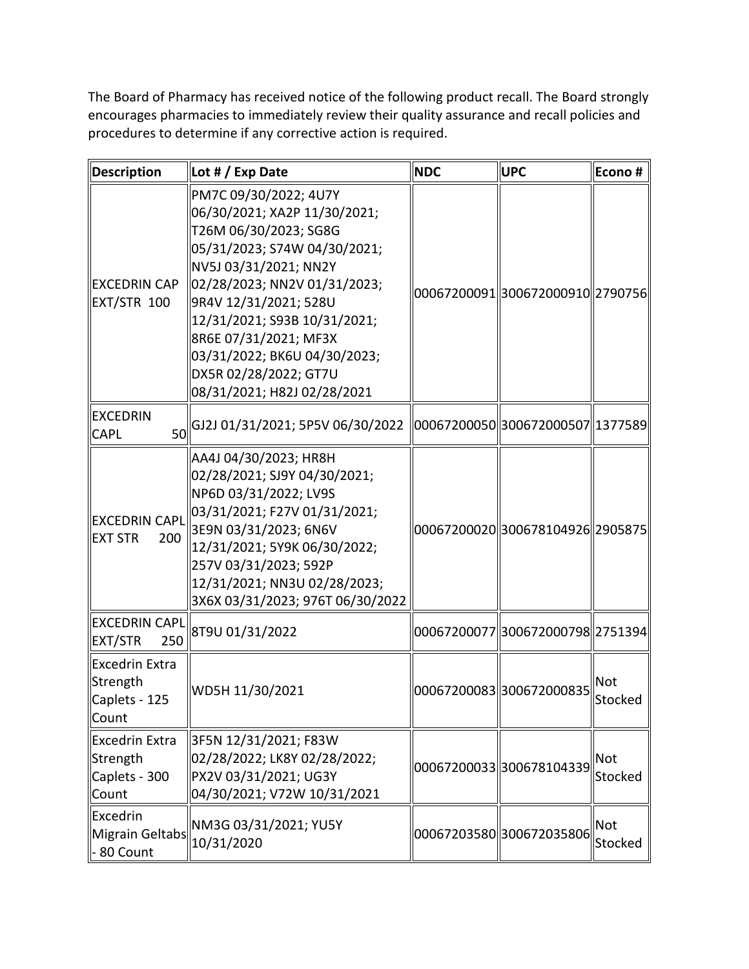The Board of Pharmacy has received notice of the following product recall. The Board strongly encourages pharmacies to immediately review their quality assurance and recall policies and procedures to determine if any corrective action is required.

| <b>Description</b>                                          | Lot # / Exp Date                                                                                                                                                                                                                                                                                                                                   | <b>NDC</b> | <b>UPC</b>                         | Econo#                |
|-------------------------------------------------------------|----------------------------------------------------------------------------------------------------------------------------------------------------------------------------------------------------------------------------------------------------------------------------------------------------------------------------------------------------|------------|------------------------------------|-----------------------|
| <b>EXCEDRIN CAP</b><br>EXT/STR 100                          | PM7C 09/30/2022; 4U7Y<br>06/30/2021; XA2P 11/30/2021;<br>T26M 06/30/2023; SG8G<br>05/31/2023; S74W 04/30/2021;<br>NV5J 03/31/2021; NN2Y<br>02/28/2023; NN2V 01/31/2023;<br>9R4V 12/31/2021; 528U<br> 12/31/2021; S93B 10/31/2021;<br>8R6E 07/31/2021; MF3X<br>03/31/2022; BK6U 04/30/2023;<br>DX5R 02/28/2022; GT7U<br>08/31/2021; H82J 02/28/2021 |            | 00067200091  300672000910  2790756 |                       |
| <b>EXCEDRIN</b><br><b>CAPL</b>                              | $\frac{1}{10}$ [GJ2J 01/31/2021; 5P5V 06/30/2022 $\parallel$ 00067200050 $\parallel$ 300672000507 $\parallel$ 1377589                                                                                                                                                                                                                              |            |                                    |                       |
| <b>EXCEDRIN CAPL</b><br><b>EXT STR</b><br>200               | AA4J 04/30/2023; HR8H<br>02/28/2021; SJ9Y 04/30/2021;<br>NP6D 03/31/2022; LV9S<br>03/31/2021; F27V 01/31/2021;<br>3E9N 03/31/2023; 6N6V<br>12/31/2021; 5Y9K 06/30/2022;<br>257V 03/31/2023; 592P<br>12/31/2021; NN3U 02/28/2023;<br>3X6X 03/31/2023; 976T 06/30/2022                                                                               |            | 00067200020 300678104926 2905875   |                       |
| <b>EXCEDRIN CAPL</b><br><b>EXT/STR</b><br>250               | 8T9U 01/31/2022                                                                                                                                                                                                                                                                                                                                    |            | 00067200077  300672000798  2751394 |                       |
| Excedrin Extra<br>Strength<br>Caplets - 125<br>Count        | WD5H 11/30/2021                                                                                                                                                                                                                                                                                                                                    |            | 00067200083 300672000835           | <b>Not</b><br>Stocked |
| <b>Excedrin Extra</b><br>Strength<br>Caplets - 300<br>Count | 3F5N 12/31/2021; F83W<br>02/28/2022; LK8Y 02/28/2022;<br>PX2V 03/31/2021; UG3Y<br>04/30/2021; V72W 10/31/2021                                                                                                                                                                                                                                      |            | 000672000333300678104339           | <b>Not</b><br>Stocked |
| Excedrin<br>Migrain Geltabs<br>- 80 Count                   | NM3G 03/31/2021; YU5Y<br>10/31/2020                                                                                                                                                                                                                                                                                                                |            | 00067203580 300672035806           | <b>Not</b><br>Stocked |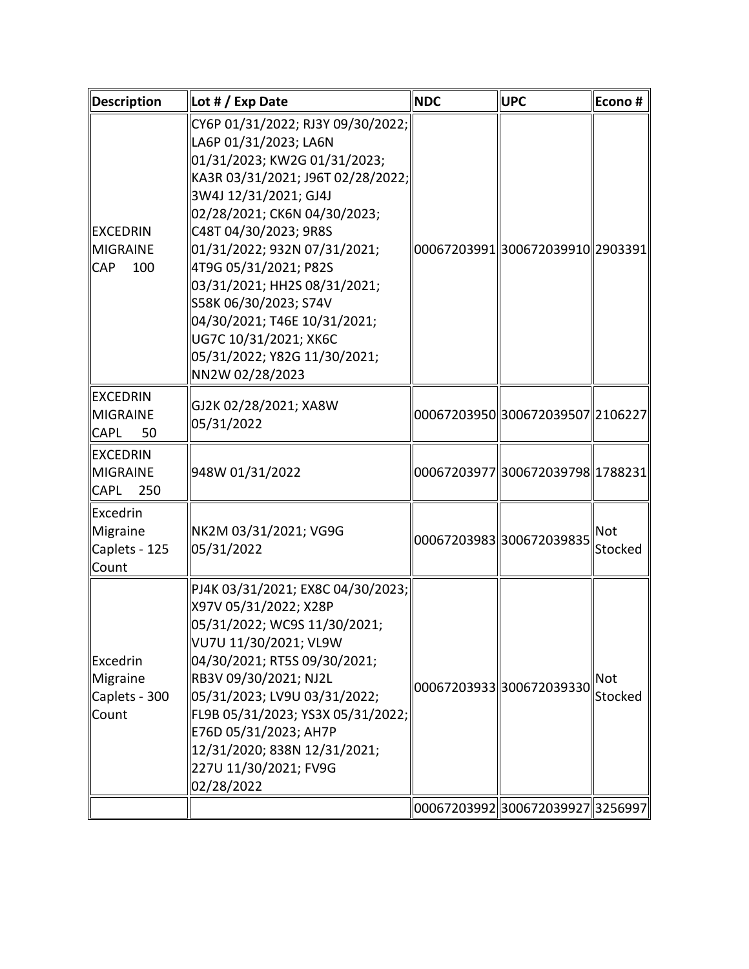| <b>Description</b>                                      | Lot # / Exp Date                                                                                                                                                                                                                                                                                                                                                                                                                                | <b>NDC</b> | UPC                                | Econo#                |
|---------------------------------------------------------|-------------------------------------------------------------------------------------------------------------------------------------------------------------------------------------------------------------------------------------------------------------------------------------------------------------------------------------------------------------------------------------------------------------------------------------------------|------------|------------------------------------|-----------------------|
| <b>EXCEDRIN</b><br>MIGRAINE<br>100<br><b>CAP</b>        | CY6P 01/31/2022; RJ3Y 09/30/2022;<br>LA6P 01/31/2023; LA6N<br>01/31/2023; KW2G 01/31/2023;<br>KA3R 03/31/2021; J96T 02/28/2022;<br>3W4J 12/31/2021; GJ4J<br>02/28/2021; CK6N 04/30/2023;<br>C48T 04/30/2023; 9R8S<br>01/31/2022; 932N 07/31/2021;<br>4T9G 05/31/2021; P82S<br>03/31/2021; HH2S 08/31/2021;<br>S58K 06/30/2023; S74V<br>04/30/2021; T46E 10/31/2021;<br>UG7C 10/31/2021; XK6C<br>05/31/2022; Y82G 11/30/2021;<br>NN2W 02/28/2023 |            | 00067203991  300672039910  2903391 |                       |
| <b>EXCEDRIN</b><br><b>MIGRAINE</b><br><b>CAPL</b><br>50 | GJ2K 02/28/2021; XA8W<br>05/31/2022                                                                                                                                                                                                                                                                                                                                                                                                             |            | 00067203950  300672039507  2106227 |                       |
| <b>EXCEDRIN</b><br>MIGRAINE<br><b>CAPL</b><br>250       | 948W 01/31/2022                                                                                                                                                                                                                                                                                                                                                                                                                                 |            | 00067203977  300672039798  1788231 |                       |
| <b>Excedrin</b><br>Migraine<br>Caplets - 125<br>Count   | NK2M 03/31/2021; VG9G<br>05/31/2022                                                                                                                                                                                                                                                                                                                                                                                                             |            | 000672039833300672039835           | Not<br>Stocked        |
| Excedrin<br>Migraine<br>Caplets - 300<br>Count          | PJ4K 03/31/2021; EX8C 04/30/2023;<br>X97V 05/31/2022; X28P<br>05/31/2022; WC9S 11/30/2021;<br>  VU7U 11/30/2021; VL9W<br>04/30/2021; RT5S 09/30/2021;<br>RB3V 09/30/2021; NJ2L<br>05/31/2023; LV9U 03/31/2022;<br>FL9B 05/31/2023; YS3X 05/31/2022;<br>E76D 05/31/2023; AH7P<br>12/31/2020; 838N 12/31/2021;<br>227U 11/30/2021; FV9G<br>02/28/2022                                                                                             |            | 00067203933330672039330            | <b>Not</b><br>Stocked |
|                                                         |                                                                                                                                                                                                                                                                                                                                                                                                                                                 |            | 00067203992  300672039927  3256997 |                       |